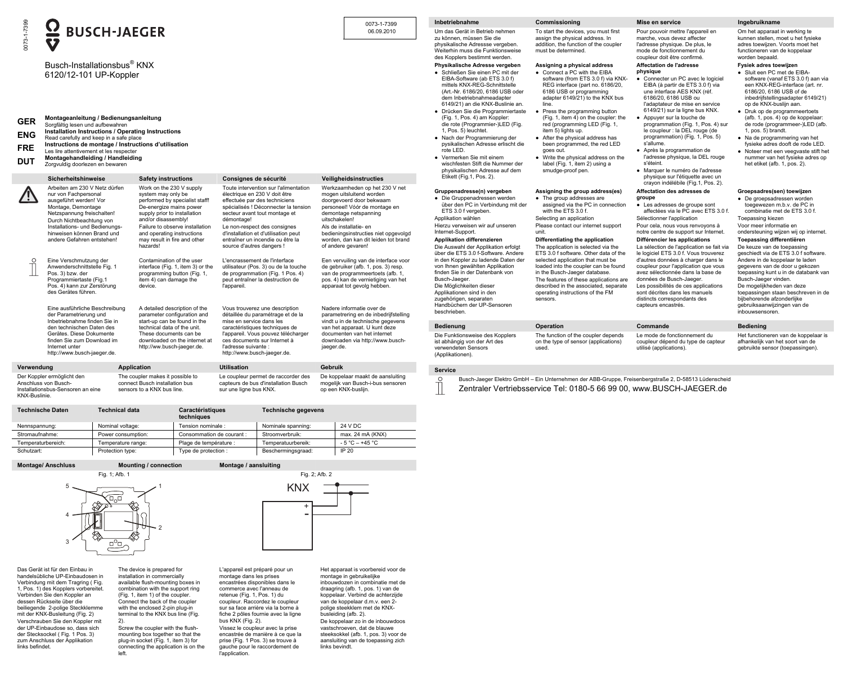

**Technische Daten Technical data Caractéristiques techniques Technische gegevens**  Nennspannung: Nominal voltage: Tension nominale : Nominale spanning: 24 V DC Stromaufnahme: Power consumption: Consommation de courant : Stroomverbruik: max. 24 mA (KNX) Temperaturbereich: Temperature range: Plage de température : Temperatuurbereik: - 5 °C – +45 °C Schutzart: Protection type: Type de protection : Beschermingsgraad: IP 20

**Montage/ Anschluss Mounting / connection Montage / aansluiting**  Fig. 1; Afb. 1 Fig. 2; Afb. 2



Das Gerät ist für den Einbau in handelsübliche UP-Einbaudosen in Verbindung mit dem Tragring ( Fig. 1, Pos. 1) des Kopplers vorbereitet. Verbinden Sie den Koppler an dessen Rückseite über die beiliegende 2-polige Steckklemme mit der KNX-Busleitung (Fig. 2) Verschrauben Sie den Koppler mit der UP-Einbaudose so, dass sich der Stecksockel ( Fig. 1 Pos. 3) zum Anschluss der Applikation links befindet.

The device is prepared for installation in commercially available flush-mounting boxes in combination with the support ring (Fig. 1, item 1) of the coupler. Connect the back of the coupler with the enclosed 2-pin plug-in terminal to the KNX bus line (Fig. 2). Screw the coupler with the flush-

left.

mounting box together so that the plug-in socket (Fig. 1, item 3) for connecting the application is on the commerce avec l'anneau de retenue (Fig. 1, Pos. 1) du coupleur. Raccordez le coupleur sur sa face arrière via la borne à fiche 2 pôles fournie avec la ligne bus KNX (Fig. 2). Vissez le coupleur avec la prise encastrée de manière à ce que la prise (Fig. 1 Pos. 3) se trouve à gauche pour le raccordement de l'application.

L'appareil est préparé pour un montage dans les prises encastrées disponibles dans le

Het apparaat is voorbereid voor de montage in gebruikelijke inbouwdozen in combinatie met de draagring (afb. 1, pos. 1) van de koppelaar. Verbind de achterzijde van de koppelaar d.m.v. een 2 polige steekklem met de KNXbusleiding (afb. 2). De koppelaar zo in de inbouwdoos vastschroeven, dat de blauwe steeksokkel (afb. 1, pos. 3) voor de aansluiting van de toepassing zich links bevindt.

-+